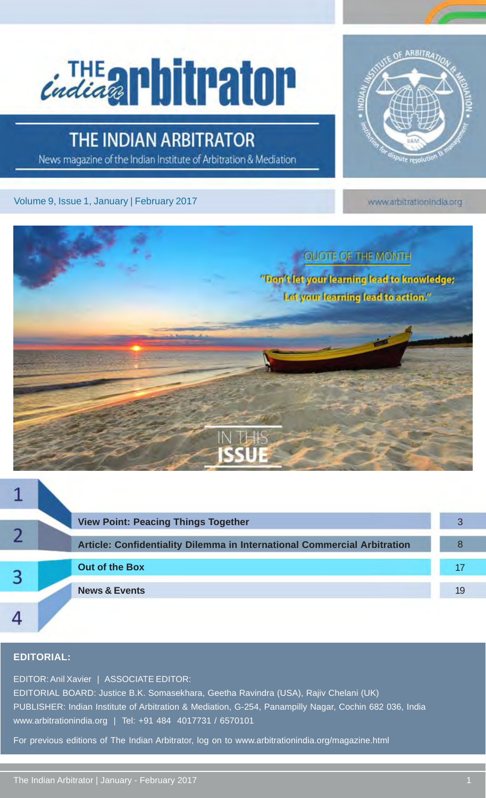# **Cindica all bitrator**

### THE INDIAN ARBITRATOR

News magazine of the Indian Institute of Arbitration & Mediation

Volume 9, Issue 1, January | February 2017



www.arbitrationindia.org



|  | <b>View Point: Peacing Things Together</b>                               |    |
|--|--------------------------------------------------------------------------|----|
|  | Article: Confidentiality Dilemma in International Commercial Arbitration |    |
|  | <b>Out of the Box</b>                                                    |    |
|  | <b>News &amp; Events</b>                                                 | 19 |
|  |                                                                          |    |

#### **EDITORIAL:**

EDITOR: Anil Xavier | ASSOCIATE EDITOR:

EDITORIAL BOARD: Justice B.K. Somasekhara, Geetha Ravindra (USA), Rajiv Chelani (UK) PUBLISHER: Indian Institute of Arbitration & Mediation, G-254, Panampilly Nagar, Cochin 682 036, India www.arbitrationindia.org | Tel: +91 484 4017731 / 6570101

For previous editions of The Indian Arbitrator, log on to www.arbitrationindia.org/magazine.html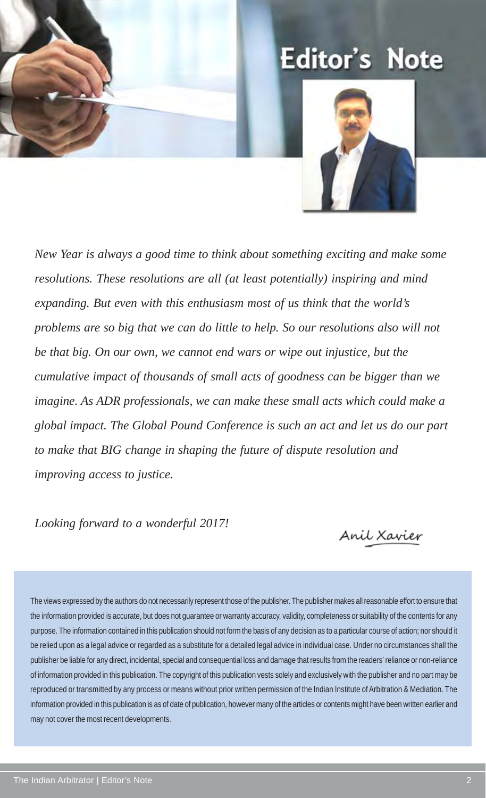### **Editor's Note**



*New Year is always a good time to think about something exciting and make some resolutions. These resolutions are all (at least potentially) inspiring and mind expanding. But even with this enthusiasm most of us think that the world's problems are so big that we can do little to help. So our resolutions also will not be that big. On our own, we cannot end wars or wipe out injustice, but the cumulative impact of thousands of small acts of goodness can be bigger than we imagine. As ADR professionals, we can make these small acts which could make a global impact. The Global Pound Conference is such an act and let us do our part to make that BIG change in shaping the future of dispute resolution and improving access to justice.*

*Looking forward to a wonderful 2017!*

Anil Xavier

The views expressed by the authors do not necessarily represent those of the publisher. The publisher makes all reasonable effort to ensure that the information provided is accurate, but does not guarantee or warranty accuracy, validity, completeness or suitability of the contents for any purpose. The information contained in this publication should not form the basis of any decision as to a particular course of action; nor should it be relied upon as a legal advice or regarded as a substitute for a detailed legal advice in individual case. Under no circumstances shall the publisher be liable for any direct, incidental, special and consequential loss and damage that results from the readers' reliance or non-reliance of information provided in this publication. The copyright of this publication vests solely and exclusively with the publisher and no part may be reproduced or transmitted by any process or means without prior written permission of the Indian Institute of Arbitration & Mediation. The information provided in this publication is as of date of publication, however many of the articles or contents might have been written earlier and may not cover the most recent developments.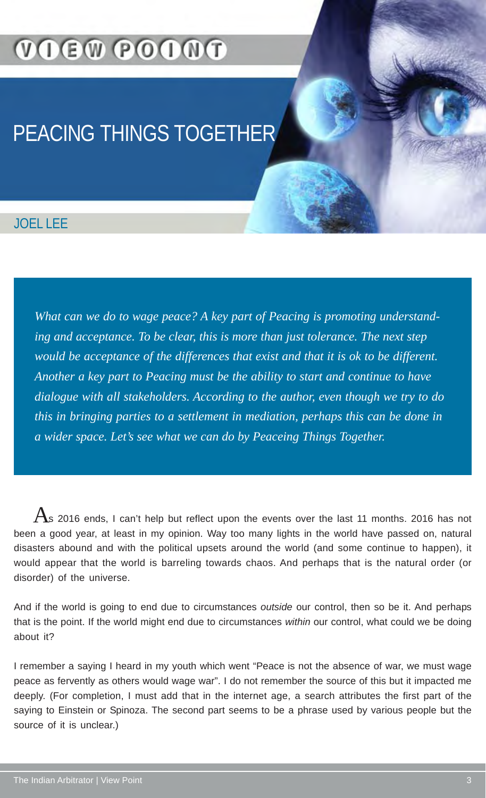### **VOEW POONT**

### PEACING THINGS TOGETHER

#### JOEL LEE

*What can we do to wage peace? A key part of Peacing is promoting understanding and acceptance. To be clear, this is more than just tolerance. The next step would be acceptance of the differences that exist and that it is ok to be different. Another a key part to Peacing must be the ability to start and continue to have dialogue with all stakeholders. According to the author, even though we try to do this in bringing parties to a settlement in mediation, perhaps this can be done in a wider space. Let's see what we can do by Peaceing Things Together.*

 ${\rm As}$  2016 ends, I can't help but reflect upon the events over the last 11 months. 2016 has not been a good year, at least in my opinion. Way too many lights in the world have passed on, natural disasters abound and with the political upsets around the world (and some continue to happen), it would appear that the world is barreling towards chaos. And perhaps that is the natural order (or disorder) of the universe.

And if the world is going to end due to circumstances *outside* our control, then so be it. And perhaps that is the point. If the world might end due to circumstances *within* our control, what could we be doing about it?

I remember a saying I heard in my youth which went "Peace is not the absence of war, we must wage peace as fervently as others would wage war". I do not remember the source of this but it impacted me deeply. (For completion, I must add that in the internet age, a search attributes the first part of the saying to Einstein or Spinoza. The second part seems to be a phrase used by various people but the source of it is unclear.)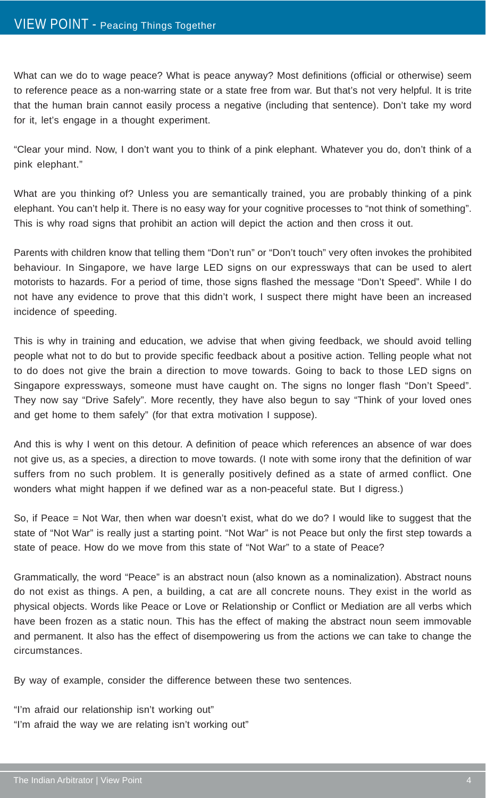What can we do to wage peace? What is peace anyway? Most definitions (official or otherwise) seem to reference peace as a non-warring state or a state free from war. But that's not very helpful. It is trite that the human brain cannot easily process a negative (including that sentence). Don't take my word for it, let's engage in a thought experiment.

"Clear your mind. Now, I don't want you to think of a pink elephant. Whatever you do, don't think of a pink elephant."

What are you thinking of? Unless you are semantically trained, you are probably thinking of a pink elephant. You can't help it. There is no easy way for your cognitive processes to "not think of something". This is why road signs that prohibit an action will depict the action and then cross it out.

Parents with children know that telling them "Don't run" or "Don't touch" very often invokes the prohibited behaviour. In Singapore, we have large LED signs on our expressways that can be used to alert motorists to hazards. For a period of time, those signs flashed the message "Don't Speed". While I do not have any evidence to prove that this didn't work, I suspect there might have been an increased incidence of speeding.

This is why in training and education, we advise that when giving feedback, we should avoid telling people what not to do but to provide specific feedback about a positive action. Telling people what not to do does not give the brain a direction to move towards. Going to back to those LED signs on Singapore expressways, someone must have caught on. The signs no longer flash "Don't Speed". They now say "Drive Safely". More recently, they have also begun to say "Think of your loved ones and get home to them safely" (for that extra motivation I suppose).

And this is why I went on this detour. A definition of peace which references an absence of war does not give us, as a species, a direction to move towards. (I note with some irony that the definition of war suffers from no such problem. It is generally positively defined as a state of armed conflict. One wonders what might happen if we defined war as a non-peaceful state. But I digress.)

So, if Peace = Not War, then when war doesn't exist, what do we do? I would like to suggest that the state of "Not War" is really just a starting point. "Not War" is not Peace but only the first step towards a state of peace. How do we move from this state of "Not War" to a state of Peace?

Grammatically, the word "Peace" is an abstract noun (also known as a nominalization). Abstract nouns do not exist as things. A pen, a building, a cat are all concrete nouns. They exist in the world as physical objects. Words like Peace or Love or Relationship or Conflict or Mediation are all verbs which have been frozen as a static noun. This has the effect of making the abstract noun seem immovable and permanent. It also has the effect of disempowering us from the actions we can take to change the circumstances.

By way of example, consider the difference between these two sentences.

"I'm afraid our relationship isn't working out" "I'm afraid the way we are relating isn't working out"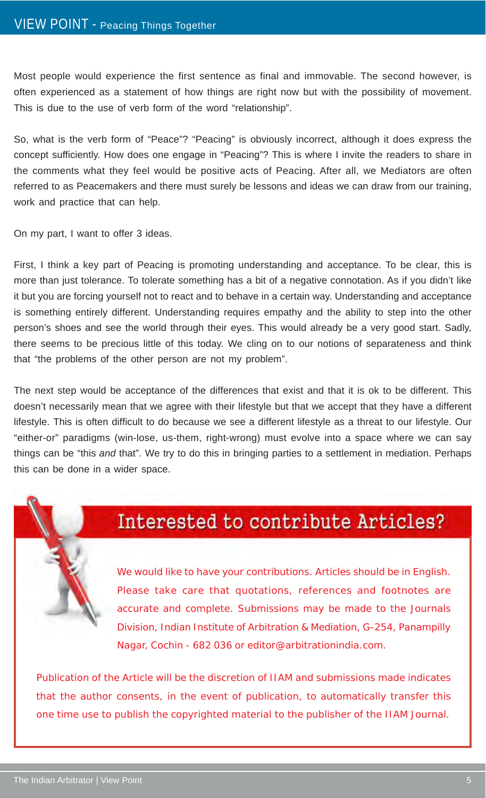Most people would experience the first sentence as final and immovable. The second however, is often experienced as a statement of how things are right now but with the possibility of movement. This is due to the use of verb form of the word "relationship".

So, what is the verb form of "Peace"? "Peacing" is obviously incorrect, although it does express the concept sufficiently. How does one engage in "Peacing"? This is where I invite the readers to share in the comments what they feel would be positive acts of Peacing. After all, we Mediators are often referred to as Peacemakers and there must surely be lessons and ideas we can draw from our training, work and practice that can help.

On my part, I want to offer 3 ideas.

First, I think a key part of Peacing is promoting understanding and acceptance. To be clear, this is more than just tolerance. To tolerate something has a bit of a negative connotation. As if you didn't like it but you are forcing yourself not to react and to behave in a certain way. Understanding and acceptance is something entirely different. Understanding requires empathy and the ability to step into the other person's shoes and see the world through their eyes. This would already be a very good start. Sadly, there seems to be precious little of this today. We cling on to our notions of separateness and think that "the problems of the other person are not my problem".

The next step would be acceptance of the differences that exist and that it is ok to be different. This doesn't necessarily mean that we agree with their lifestyle but that we accept that they have a different lifestyle. This is often difficult to do because we see a different lifestyle as a threat to our lifestyle. Our "either-or" paradigms (win-lose, us-them, right-wrong) must evolve into a space where we can say things can be "this *and* that". We try to do this in bringing parties to a settlement in mediation. Perhaps this can be done in a wider space.

### Interested to contribute Articles?

We would like to have your contributions. Articles should be in English. Please take care that quotations, references and footnotes are accurate and complete. Submissions may be made to the Journals Division, Indian Institute of Arbitration & Mediation, G-254, Panampilly Nagar, Cochin - 682 036 or editor@arbitrationindia.com.

Publication of the Article will be the discretion of IIAM and submissions made indicates that the author consents, in the event of publication, to automatically transfer this one time use to publish the copyrighted material to the publisher of the IIAM Journal.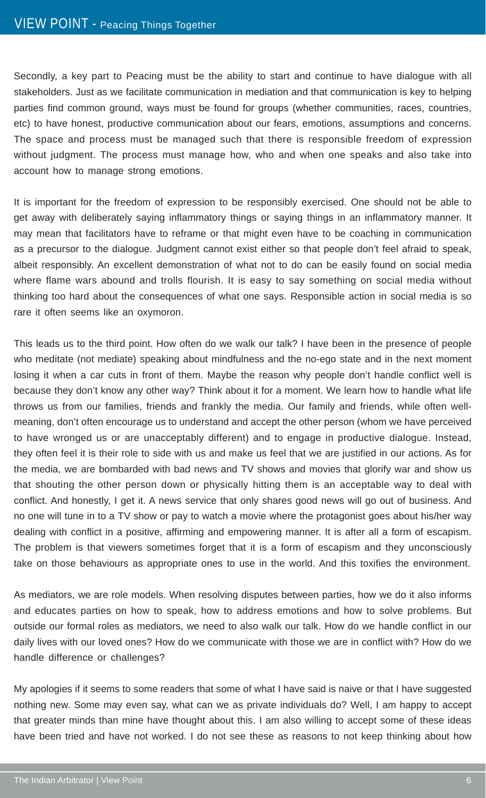Secondly, a key part to Peacing must be the ability to start and continue to have dialogue with all stakeholders. Just as we facilitate communication in mediation and that communication is key to helping parties find common ground, ways must be found for groups (whether communities, races, countries, etc) to have honest, productive communication about our fears, emotions, assumptions and concerns. The space and process must be managed such that there is responsible freedom of expression without judgment. The process must manage how, who and when one speaks and also take into account how to manage strong emotions.

It is important for the freedom of expression to be responsibly exercised. One should not be able to get away with deliberately saying inflammatory things or saying things in an inflammatory manner. It may mean that facilitators have to reframe or that might even have to be coaching in communication as a precursor to the dialogue. Judgment cannot exist either so that people don't feel afraid to speak, albeit responsibly. An excellent demonstration of what not to do can be easily found on social media where flame wars abound and trolls flourish. It is easy to say something on social media without thinking too hard about the consequences of what one says. Responsible action in social media is so rare it often seems like an oxymoron.

This leads us to the third point. How often do we walk our talk? I have been in the presence of people who meditate (not mediate) speaking about mindfulness and the no-ego state and in the next moment losing it when a car cuts in front of them. Maybe the reason why people don't handle conflict well is because they don't know any other way? Think about it for a moment. We learn how to handle what life throws us from our families, friends and frankly the media. Our family and friends, while often wellmeaning, don't often encourage us to understand and accept the other person (whom we have perceived to have wronged us or are unacceptably different) and to engage in productive dialogue. Instead, they often feel it is their role to side with us and make us feel that we are justified in our actions. As for the media, we are bombarded with bad news and TV shows and movies that glorify war and show us that shouting the other person down or physically hitting them is an acceptable way to deal with conflict. And honestly, I get it. A news service that only shares good news will go out of business. And no one will tune in to a TV show or pay to watch a movie where the protagonist goes about his/her way dealing with conflict in a positive, affirming and empowering manner. It is after all a form of escapism. The problem is that viewers sometimes forget that it is a form of escapism and they unconsciously take on those behaviours as appropriate ones to use in the world. And this toxifies the environment.

As mediators, we are role models. When resolving disputes between parties, how we do it also informs and educates parties on how to speak, how to address emotions and how to solve problems. But outside our formal roles as mediators, we need to also walk our talk. How do we handle conflict in our daily lives with our loved ones? How do we communicate with those we are in conflict with? How do we handle difference or challenges?

My apologies if it seems to some readers that some of what I have said is naive or that I have suggested nothing new. Some may even say, what can we as private individuals do? Well, I am happy to accept that greater minds than mine have thought about this. I am also willing to accept some of these ideas have been tried and have not worked. I do not see these as reasons to not keep thinking about how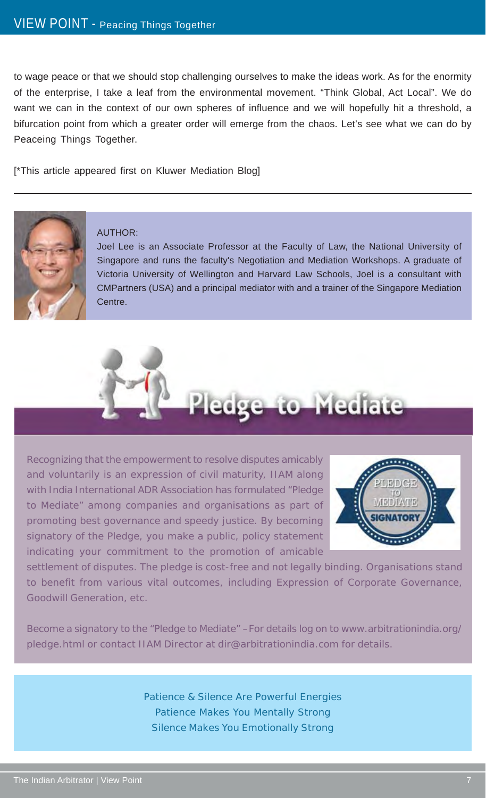to wage peace or that we should stop challenging ourselves to make the ideas work. As for the enormity of the enterprise, I take a leaf from the environmental movement. "Think Global, Act Local". We do want we can in the context of our own spheres of influence and we will hopefully hit a threshold, a bifurcation point from which a greater order will emerge from the chaos. Let's see what we can do by Peaceing Things Together.

[\*This article appeared first on Kluwer Mediation Blog]



#### AUTHOR:

Joel Lee is an Associate Professor at the Faculty of Law, the National University of Singapore and runs the faculty's Negotiation and Mediation Workshops. A graduate of Victoria University of Wellington and Harvard Law Schools, Joel is a consultant with CMPartners (USA) and a principal mediator with and a trainer of the Singapore Mediation Centre.



Recognizing that the empowerment to resolve disputes amicably and voluntarily is an expression of civil maturity, IIAM along with India International ADR Association has formulated "Pledge to Mediate" among companies and organisations as part of promoting best governance and speedy justice. By becoming signatory of the Pledge, you make a public, policy statement indicating your commitment to the promotion of amicable



settlement of disputes. The pledge is cost-free and not legally binding. Organisations stand to benefit from various vital outcomes, including Expression of Corporate Governance, Goodwill Generation, etc.

Become a signatory to the "Pledge to Mediate" –For details log on to www.arbitrationindia.org/ pledge.html or contact IIAM Director at dir@arbitrationindia.com for details.

#### Patience & Silence Are Powerful Energies Patience Makes You Mentally Strong Silence Makes You Emotionally Strong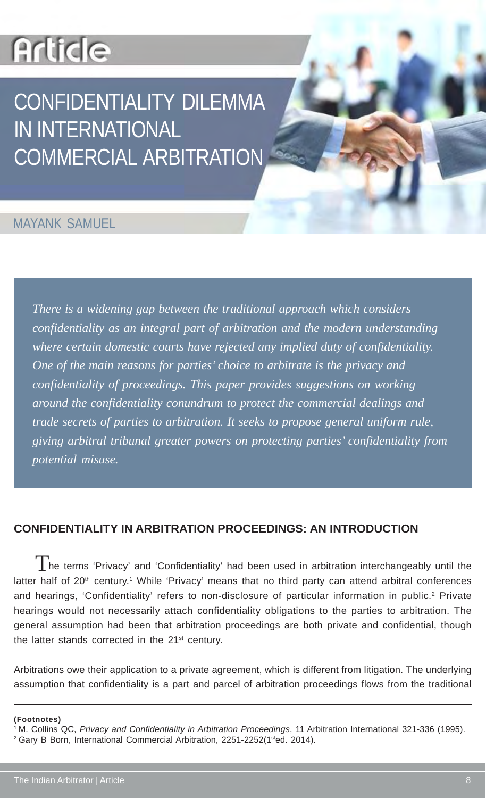# **Article**

### CONFIDENTIALITY DILEMMA IN INTERNATIONAL COMMERCIAL ARBITRATION

#### MAYANK SAMUEL

*There is a widening gap between the traditional approach which considers confidentiality as an integral part of arbitration and the modern understanding where certain domestic courts have rejected any implied duty of confidentiality. One of the main reasons for parties' choice to arbitrate is the privacy and confidentiality of proceedings. This paper provides suggestions on working around the confidentiality conundrum to protect the commercial dealings and trade secrets of parties to arbitration. It seeks to propose general uniform rule, giving arbitral tribunal greater powers on protecting parties' confidentiality from potential misuse.*

#### **CONFIDENTIALITY IN ARBITRATION PROCEEDINGS: AN INTRODUCTION**

The terms 'Privacy' and 'Confidentiality' had been used in arbitration interchangeably until the latter half of 20<sup>th</sup> century.<sup>1</sup> While 'Privacy' means that no third party can attend arbitral conferences and hearings, 'Confidentiality' refers to non-disclosure of particular information in public.2 Private hearings would not necessarily attach confidentiality obligations to the parties to arbitration. The general assumption had been that arbitration proceedings are both private and confidential, though the latter stands corrected in the 21<sup>st</sup> century.

Arbitrations owe their application to a private agreement, which is different from litigation. The underlying assumption that confidentiality is a part and parcel of arbitration proceedings flows from the traditional

**(Footnotes)**

1 M. Collins QC, *Privacy and Confidentiality in Arbitration Proceedings*, 11 Arbitration International 321-336 (1995).

<sup>&</sup>lt;sup>2</sup> Gary B Born, International Commercial Arbitration, 2251-2252(1<sup>st</sup>ed. 2014).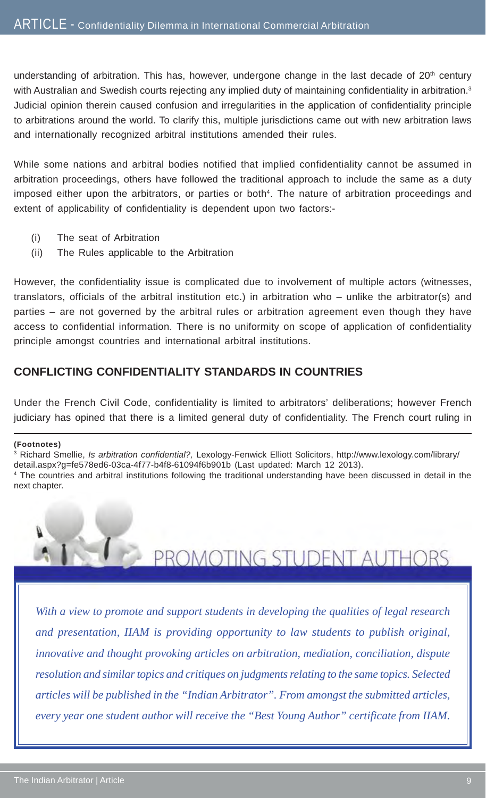understanding of arbitration. This has, however, undergone change in the last decade of  $20<sup>th</sup>$  century with Australian and Swedish courts rejecting any implied duty of maintaining confidentiality in arbitration.<sup>3</sup> Judicial opinion therein caused confusion and irregularities in the application of confidentiality principle to arbitrations around the world. To clarify this, multiple jurisdictions came out with new arbitration laws and internationally recognized arbitral institutions amended their rules.

While some nations and arbitral bodies notified that implied confidentiality cannot be assumed in arbitration proceedings, others have followed the traditional approach to include the same as a duty imposed either upon the arbitrators, or parties or both<sup>4</sup>. The nature of arbitration proceedings and extent of applicability of confidentiality is dependent upon two factors:-

- (i) The seat of Arbitration
- (ii) The Rules applicable to the Arbitration

However, the confidentiality issue is complicated due to involvement of multiple actors (witnesses, translators, officials of the arbitral institution etc.) in arbitration who – unlike the arbitrator(s) and parties – are not governed by the arbitral rules or arbitration agreement even though they have access to confidential information. There is no uniformity on scope of application of confidentiality principle amongst countries and international arbitral institutions.

#### **CONFLICTING CONFIDENTIALITY STANDARDS IN COUNTRIES**

Under the French Civil Code, confidentiality is limited to arbitrators' deliberations; however French judiciary has opined that there is a limited general duty of confidentiality. The French court ruling in

#### **(Footnotes)**

3 Richard Smellie, *Is arbitration confidential?,* Lexology-Fenwick Elliott Solicitors, http://www.lexology.com/library/ detail.aspx?g=fe578ed6-03ca-4f77-b4f8-61094f6b901b (Last updated: March 12 2013).

4 The countries and arbitral institutions following the traditional understanding have been discussed in detail in the next chapter.

PROMOTING STUDENT AUTHORS



*every year one student author will receive the "Best Young Author" certificate from IIAM.*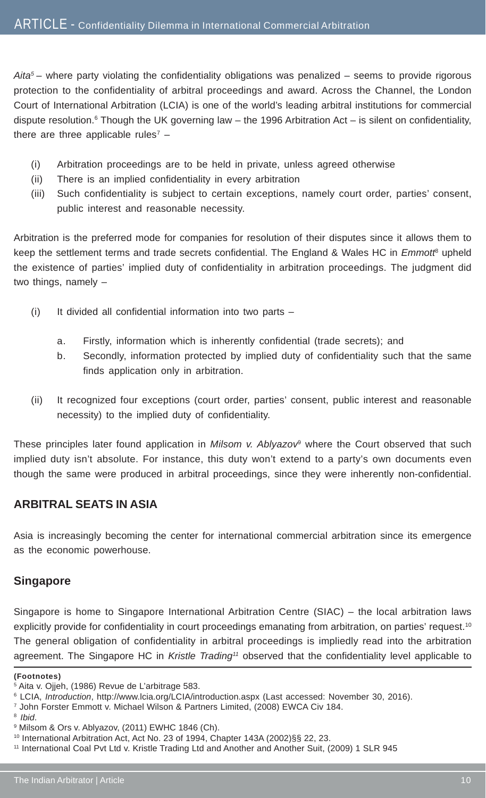*Aita5 –* where party violating the confidentiality obligations was penalized – seems to provide rigorous protection to the confidentiality of arbitral proceedings and award. Across the Channel, the London Court of International Arbitration (LCIA) is one of the world's leading arbitral institutions for commercial dispute resolution.<sup>6</sup> Though the UK governing law – the 1996 Arbitration Act – is silent on confidentiality, there are three applicable rules<sup>7</sup>  $-$ 

- (i) Arbitration proceedings are to be held in private, unless agreed otherwise
- (ii) There is an implied confidentiality in every arbitration
- (iii) Such confidentiality is subject to certain exceptions, namely court order, parties' consent, public interest and reasonable necessity.

Arbitration is the preferred mode for companies for resolution of their disputes since it allows them to keep the settlement terms and trade secrets confidential. The England & Wales HC in *Emmott*<sup>8</sup> upheld the existence of parties' implied duty of confidentiality in arbitration proceedings. The judgment did two things, namely –

- (i) It divided all confidential information into two parts
	- a. Firstly, information which is inherently confidential (trade secrets); and
	- b. Secondly, information protected by implied duty of confidentiality such that the same finds application only in arbitration.
- (ii) It recognized four exceptions (court order, parties' consent, public interest and reasonable necessity) to the implied duty of confidentiality.

These principles later found application in *Milsom v. Ablyazov*<sup>9</sup> where the Court observed that such implied duty isn't absolute. For instance, this duty won't extend to a party's own documents even though the same were produced in arbitral proceedings, since they were inherently non-confidential.

#### **ARBITRAL SEATS IN ASIA**

Asia is increasingly becoming the center for international commercial arbitration since its emergence as the economic powerhouse.

#### **Singapore**

Singapore is home to Singapore International Arbitration Centre (SIAC) – the local arbitration laws explicitly provide for confidentiality in court proceedings emanating from arbitration, on parties' request.<sup>10</sup> The general obligation of confidentiality in arbitral proceedings is impliedly read into the arbitration agreement. The Singapore HC in *Kristle Trading11* observed that the confidentiality level applicable to

**<sup>(</sup>Footnotes)**

<sup>5</sup> Aita v. Ojjeh, (1986) Revue de L'arbitrage 583.

<sup>6</sup> LCIA, *Introduction*, http://www.lcia.org/LCIA/introduction.aspx (Last accessed: November 30, 2016).

<sup>7</sup> John Forster Emmott v. Michael Wilson & Partners Limited, (2008) EWCA Civ 184.

<sup>8</sup> *Ibid*.

<sup>9</sup> Milsom & Ors v. Ablyazov, (2011) EWHC 1846 (Ch).

<sup>10</sup> International Arbitration Act, Act No. 23 of 1994, Chapter 143A (2002)§§ 22, 23.

<sup>11</sup> International Coal Pvt Ltd v. Kristle Trading Ltd and Another and Another Suit, (2009) 1 SLR 945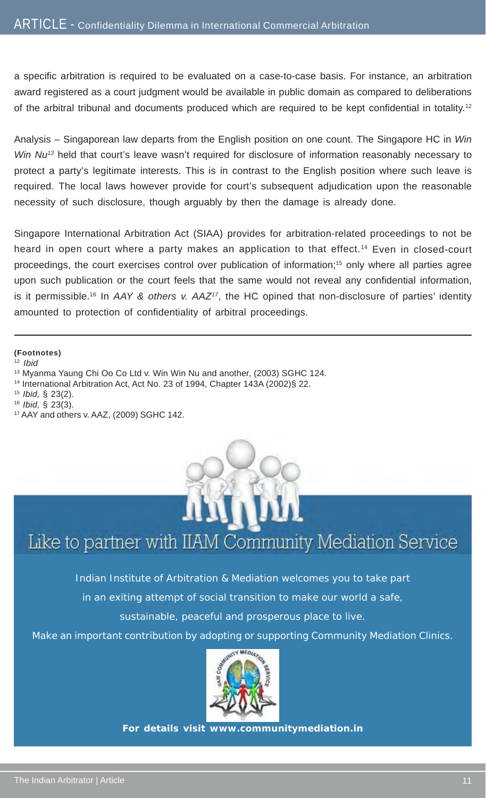a specific arbitration is required to be evaluated on a case-to-case basis. For instance, an arbitration award registered as a court judgment would be available in public domain as compared to deliberations of the arbitral tribunal and documents produced which are required to be kept confidential in totality.<sup>12</sup>

Analysis – Singaporean law departs from the English position on one count. The Singapore HC in *Win Win Nu<sup>13</sup>* held that court's leave wasn't required for disclosure of information reasonably necessary to protect a party's legitimate interests. This is in contrast to the English position where such leave is required. The local laws however provide for court's subsequent adjudication upon the reasonable necessity of such disclosure, though arguably by then the damage is already done.

Singapore International Arbitration Act (SIAA) provides for arbitration-related proceedings to not be heard in open court where a party makes an application to that effect.<sup>14</sup> Even in closed-court proceedings, the court exercises control over publication of information;<sup>15</sup> only where all parties agree upon such publication or the court feels that the same would not reveal any confidential information, is it permissible.16 In *AAY & others v. AAZ17*, the HC opined that non-disclosure of parties' identity amounted to protection of confidentiality of arbitral proceedings.

**(Footnotes)**

<sup>12</sup> *Ibid*

14 International Arbitration Act, Act No. 23 of 1994, Chapter 143A (2002)§ 22.

<sup>15</sup> *Ibid,* § 23(2).

- <sup>16</sup> *Ibid,* § 23(3).
- 17 AAY and others v. AAZ, (2009) SGHC 142.



### Like to partner with IIAM Community Mediation Service

Indian Institute of Arbitration & Mediation welcomes you to take part in an exiting attempt of social transition to make our world a safe,

sustainable, peaceful and prosperous place to live.

Make an important contribution by adopting or supporting Community Mediation Clinics.



**For details visit www.communitymediation.in**

<sup>13</sup> Myanma Yaung Chi Oo Co Ltd v. Win Win Nu and another, (2003) SGHC 124.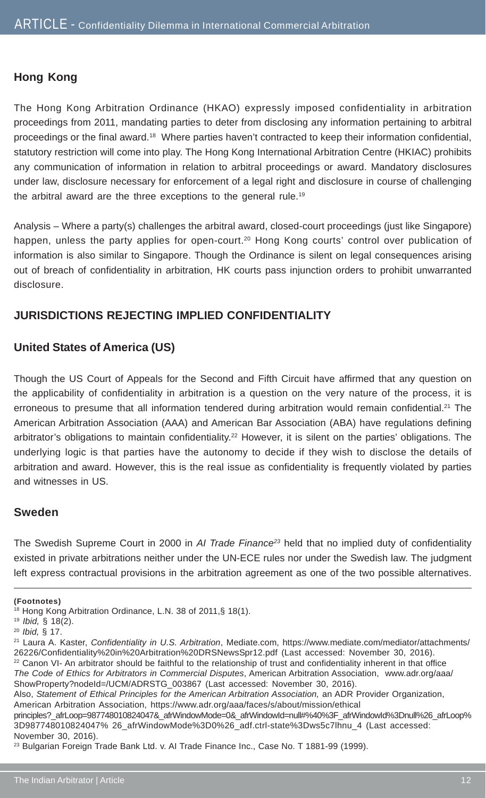#### **Hong Kong**

The Hong Kong Arbitration Ordinance (HKAO) expressly imposed confidentiality in arbitration proceedings from 2011, mandating parties to deter from disclosing any information pertaining to arbitral proceedings or the final award.18 Where parties haven't contracted to keep their information confidential, statutory restriction will come into play. The Hong Kong International Arbitration Centre (HKIAC) prohibits any communication of information in relation to arbitral proceedings or award. Mandatory disclosures under law, disclosure necessary for enforcement of a legal right and disclosure in course of challenging the arbitral award are the three exceptions to the general rule.19

Analysis – Where a party(s) challenges the arbitral award, closed-court proceedings (just like Singapore) happen, unless the party applies for open-court.<sup>20</sup> Hong Kong courts' control over publication of information is also similar to Singapore. Though the Ordinance is silent on legal consequences arising out of breach of confidentiality in arbitration, HK courts pass injunction orders to prohibit unwarranted disclosure.

#### **JURISDICTIONS REJECTING IMPLIED CONFIDENTIALITY**

#### **United States of America (US)**

Though the US Court of Appeals for the Second and Fifth Circuit have affirmed that any question on the applicability of confidentiality in arbitration is a question on the very nature of the process, it is erroneous to presume that all information tendered during arbitration would remain confidential.<sup>21</sup> The American Arbitration Association (AAA) and American Bar Association (ABA) have regulations defining arbitrator's obligations to maintain confidentiality.<sup>22</sup> However, it is silent on the parties' obligations. The underlying logic is that parties have the autonomy to decide if they wish to disclose the details of arbitration and award. However, this is the real issue as confidentiality is frequently violated by parties and witnesses in US.

#### **Sweden**

The Swedish Supreme Court in 2000 in *AI Trade Finance<sup>23</sup>* held that no implied duty of confidentiality existed in private arbitrations neither under the UN-ECE rules nor under the Swedish law. The judgment left express contractual provisions in the arbitration agreement as one of the two possible alternatives.

**(Footnotes)**

<sup>18</sup> Hong Kong Arbitration Ordinance, L.N. 38 of 2011,§ 18(1).

<sup>19</sup> *Ibid,* § 18(2).

<sup>20</sup> *Ibid,* § 17.

<sup>21</sup> Laura A. Kaster, *Confidentiality in U.S. Arbitration*, Mediate.com, https://www.mediate.com/mediator/attachments/ 26226/Confidentiality%20in%20Arbitration%20DRSNewsSpr12.pdf (Last accessed: November 30, 2016).

<sup>&</sup>lt;sup>22</sup> Canon VI- An arbitrator should be faithful to the relationship of trust and confidentiality inherent in that office *The Code of Ethics for Arbitrators in Commercial Disputes*, American Arbitration Association, www.adr.org/aaa/ ShowProperty?nodeId=/UCM/ADRSTG\_003867 (Last accessed: November 30, 2016).

Also, *Statement of Ethical Principles for the American Arbitration Association,* an ADR Provider Organization, American Arbitration Association, https://www.adr.org/aaa/faces/s/about/mission/ethical

principles?\_afrLoop=987748010824047&\_afrWindowMode=0&\_afrWindowId=null#%40%3F\_afrWindowId%3Dnull%26\_afrLoop% 3D987748010824047% 26\_afrWindowMode%3D0%26\_adf.ctrl-state%3Dws5c7lhnu\_4 (Last accessed: November 30, 2016).

<sup>&</sup>lt;sup>23</sup> Bulgarian Foreign Trade Bank Ltd. v. AI Trade Finance Inc., Case No. T 1881-99 (1999).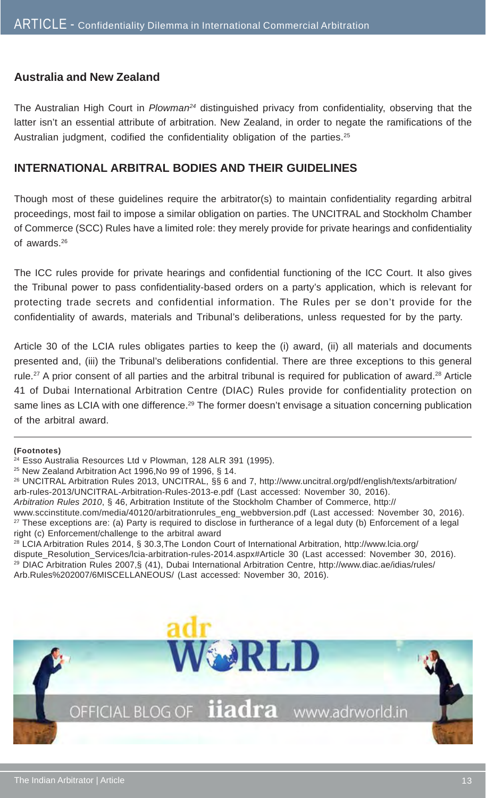#### **Australia and New Zealand**

The Australian High Court in *Plowman<sup>24</sup>* distinguished privacy from confidentiality, observing that the latter isn't an essential attribute of arbitration. New Zealand, in order to negate the ramifications of the Australian judgment, codified the confidentiality obligation of the parties.<sup>25</sup>

#### **INTERNATIONAL ARBITRAL BODIES AND THEIR GUIDELINES**

Though most of these guidelines require the arbitrator(s) to maintain confidentiality regarding arbitral proceedings, most fail to impose a similar obligation on parties. The UNCITRAL and Stockholm Chamber of Commerce (SCC) Rules have a limited role: they merely provide for private hearings and confidentiality of awards.26

The ICC rules provide for private hearings and confidential functioning of the ICC Court. It also gives the Tribunal power to pass confidentiality-based orders on a party's application, which is relevant for protecting trade secrets and confidential information. The Rules per se don't provide for the confidentiality of awards, materials and Tribunal's deliberations, unless requested for by the party.

Article 30 of the LCIA rules obligates parties to keep the (i) award, (ii) all materials and documents presented and, (iii) the Tribunal's deliberations confidential. There are three exceptions to this general rule.<sup>27</sup> A prior consent of all parties and the arbitral tribunal is required for publication of award.<sup>28</sup> Article 41 of Dubai International Arbitration Centre (DIAC) Rules provide for confidentiality protection on same lines as LCIA with one difference.<sup>29</sup> The former doesn't envisage a situation concerning publication of the arbitral award.

#### **(Footnotes)**

28 LCIA Arbitration Rules 2014, § 30.3,The London Court of International Arbitration, http://www.lcia.org/ dispute\_Resolution\_Services/lcia-arbitration-rules-2014.aspx#Article 30 (Last accessed: November 30, 2016). 29 DIAC Arbitration Rules 2007,§ (41), Dubai International Arbitration Centre, http://www.diac.ae/idias/rules/ Arb.Rules%202007/6MISCELLANEOUS/ (Last accessed: November 30, 2016).



<sup>&</sup>lt;sup>24</sup> Esso Australia Resources Ltd v Plowman, 128 ALR 391 (1995).

<sup>25</sup> New Zealand Arbitration Act 1996,No 99 of 1996, § 14.

<sup>26</sup> UNCITRAL Arbitration Rules 2013, UNCITRAL, §§ 6 and 7, http://www.uncitral.org/pdf/english/texts/arbitration/ arb-rules-2013/UNCITRAL-Arbitration-Rules-2013-e.pdf (Last accessed: November 30, 2016).

*Arbitration Rules 2010*, § 46, Arbitration Institute of the Stockholm Chamber of Commerce, http://

www.sccinstitute.com/media/40120/arbitrationrules\_eng\_webbversion.pdf (Last accessed: November 30, 2016). <sup>27</sup> These exceptions are: (a) Party is required to disclose in furtherance of a legal duty (b) Enforcement of a legal right (c) Enforcement/challenge to the arbitral award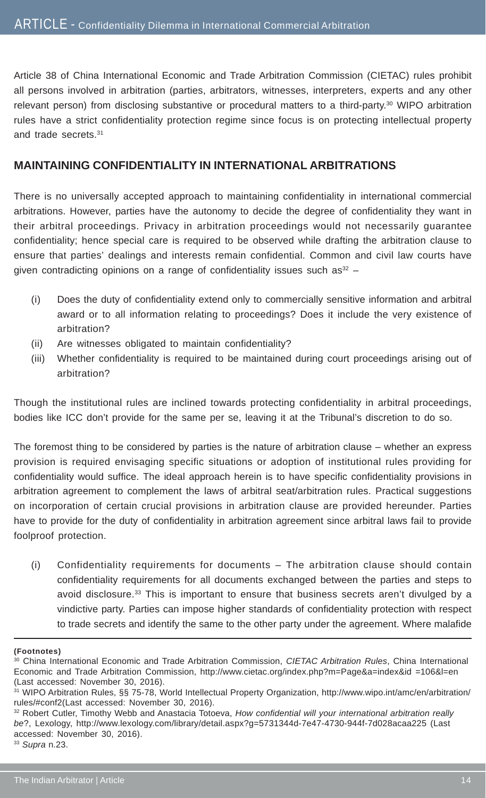Article 38 of China International Economic and Trade Arbitration Commission (CIETAC) rules prohibit all persons involved in arbitration (parties, arbitrators, witnesses, interpreters, experts and any other relevant person) from disclosing substantive or procedural matters to a third-party.<sup>30</sup> WIPO arbitration rules have a strict confidentiality protection regime since focus is on protecting intellectual property and trade secrets.31

#### **MAINTAINING CONFIDENTIALITY IN INTERNATIONAL ARBITRATIONS**

There is no universally accepted approach to maintaining confidentiality in international commercial arbitrations. However, parties have the autonomy to decide the degree of confidentiality they want in their arbitral proceedings. Privacy in arbitration proceedings would not necessarily guarantee confidentiality; hence special care is required to be observed while drafting the arbitration clause to ensure that parties' dealings and interests remain confidential. Common and civil law courts have given contradicting opinions on a range of confidentiality issues such as  $32 -$ 

- (i) Does the duty of confidentiality extend only to commercially sensitive information and arbitral award or to all information relating to proceedings? Does it include the very existence of arbitration?
- (ii) Are witnesses obligated to maintain confidentiality?
- (iii) Whether confidentiality is required to be maintained during court proceedings arising out of arbitration?

Though the institutional rules are inclined towards protecting confidentiality in arbitral proceedings, bodies like ICC don't provide for the same per se, leaving it at the Tribunal's discretion to do so.

The foremost thing to be considered by parties is the nature of arbitration clause – whether an express provision is required envisaging specific situations or adoption of institutional rules providing for confidentiality would suffice. The ideal approach herein is to have specific confidentiality provisions in arbitration agreement to complement the laws of arbitral seat/arbitration rules. Practical suggestions on incorporation of certain crucial provisions in arbitration clause are provided hereunder. Parties have to provide for the duty of confidentiality in arbitration agreement since arbitral laws fail to provide foolproof protection.

(i) Confidentiality requirements for documents – The arbitration clause should contain confidentiality requirements for all documents exchanged between the parties and steps to avoid disclosure.33 This is important to ensure that business secrets aren't divulged by a vindictive party. Parties can impose higher standards of confidentiality protection with respect to trade secrets and identify the same to the other party under the agreement. Where malafide

**<sup>(</sup>Footnotes)**

<sup>30</sup> China International Economic and Trade Arbitration Commission, *CIETAC Arbitration Rules*, China International Economic and Trade Arbitration Commission, http://www.cietac.org/index.php?m=Page&a=index&id =106&l=en (Last accessed: November 30, 2016).

<sup>31</sup> WIPO Arbitration Rules, §§ 75-78, World Intellectual Property Organization, http://www.wipo.int/amc/en/arbitration/ rules/#conf2(Last accessed: November 30, 2016).

<sup>32</sup> Robert Cutler, Timothy Webb and Anastacia Totoeva, *How confidential will your international arbitration really be*?, Lexology, http://www.lexology.com/library/detail.aspx?g=5731344d-7e47-4730-944f-7d028acaa225 (Last accessed: November 30, 2016). 33 *Supra* n.23.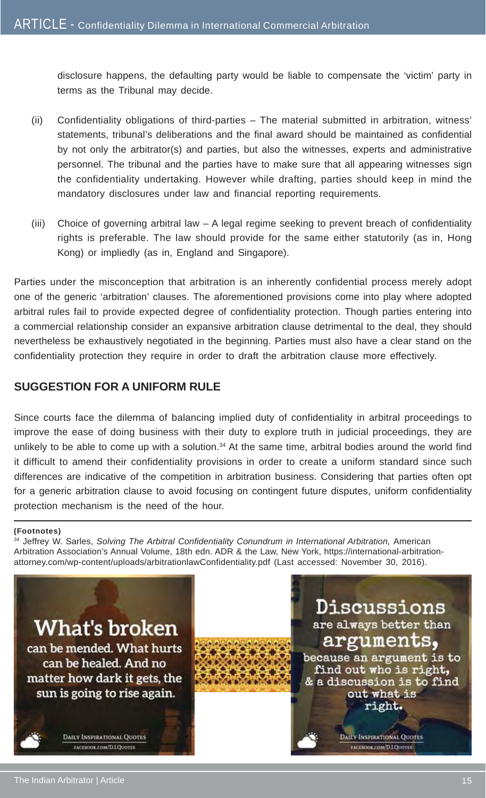disclosure happens, the defaulting party would be liable to compensate the 'victim' party in terms as the Tribunal may decide.

- (ii) Confidentiality obligations of third-parties The material submitted in arbitration, witness' statements, tribunal's deliberations and the final award should be maintained as confidential by not only the arbitrator(s) and parties, but also the witnesses, experts and administrative personnel. The tribunal and the parties have to make sure that all appearing witnesses sign the confidentiality undertaking. However while drafting, parties should keep in mind the mandatory disclosures under law and financial reporting requirements.
- (iii) Choice of governing arbitral law A legal regime seeking to prevent breach of confidentiality rights is preferable. The law should provide for the same either statutorily (as in, Hong Kong) or impliedly (as in, England and Singapore).

Parties under the misconception that arbitration is an inherently confidential process merely adopt one of the generic 'arbitration' clauses. The aforementioned provisions come into play where adopted arbitral rules fail to provide expected degree of confidentiality protection. Though parties entering into a commercial relationship consider an expansive arbitration clause detrimental to the deal, they should nevertheless be exhaustively negotiated in the beginning. Parties must also have a clear stand on the confidentiality protection they require in order to draft the arbitration clause more effectively.

#### **SUGGESTION FOR A UNIFORM RULE**

Since courts face the dilemma of balancing implied duty of confidentiality in arbitral proceedings to improve the ease of doing business with their duty to explore truth in judicial proceedings, they are unlikely to be able to come up with a solution.<sup>34</sup> At the same time, arbitral bodies around the world find it difficult to amend their confidentiality provisions in order to create a uniform standard since such differences are indicative of the competition in arbitration business. Considering that parties often opt for a generic arbitration clause to avoid focusing on contingent future disputes, uniform confidentiality protection mechanism is the need of the hour.

#### **(Footnotes)**

<sup>34</sup> Jeffrey W. Sarles, *Solving The Arbitral Confidentiality Conundrum in International Arbitration, American* Arbitration Association's Annual Volume, 18th edn. ADR & the Law, New York, https://international-arbitrationattorney.com/wp-content/uploads/arbitrationlawConfidentiality.pdf (Last accessed: November 30, 2016).

**What's broken** can be mended. What hurts can be healed. And no matter how dark it gets, the sun is going to rise again.

> **DAILY INSPIRATIONAL QUOTES** FACEBOOK.COM/D.I.QUOTES



#### are always better than arguments, because an argument is to find out who is right, & a discussion is to find

Discussions

out what is right.

**DAILY INSPIRATIONAL QUOTES** FACEBOOK.COM/D.I.QUOTES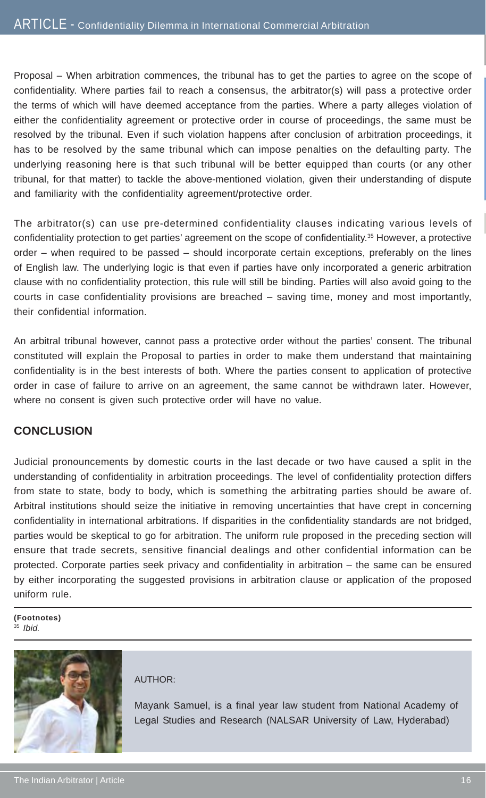Proposal – When arbitration commences, the tribunal has to get the parties to agree on the scope of confidentiality. Where parties fail to reach a consensus, the arbitrator(s) will pass a protective order the terms of which will have deemed acceptance from the parties. Where a party alleges violation of either the confidentiality agreement or protective order in course of proceedings, the same must be resolved by the tribunal. Even if such violation happens after conclusion of arbitration proceedings, it has to be resolved by the same tribunal which can impose penalties on the defaulting party. The underlying reasoning here is that such tribunal will be better equipped than courts (or any other tribunal, for that matter) to tackle the above-mentioned violation, given their understanding of dispute and familiarity with the confidentiality agreement/protective order.

The arbitrator(s) can use pre-determined confidentiality clauses indicating various levels of confidentiality protection to get parties' agreement on the scope of confidentiality.35 However, a protective order – when required to be passed – should incorporate certain exceptions, preferably on the lines of English law. The underlying logic is that even if parties have only incorporated a generic arbitration clause with no confidentiality protection, this rule will still be binding. Parties will also avoid going to the courts in case confidentiality provisions are breached – saving time, money and most importantly, their confidential information.

An arbitral tribunal however, cannot pass a protective order without the parties' consent. The tribunal constituted will explain the Proposal to parties in order to make them understand that maintaining confidentiality is in the best interests of both. Where the parties consent to application of protective order in case of failure to arrive on an agreement, the same cannot be withdrawn later. However, where no consent is given such protective order will have no value.

#### **CONCLUSION**

Judicial pronouncements by domestic courts in the last decade or two have caused a split in the understanding of confidentiality in arbitration proceedings. The level of confidentiality protection differs from state to state, body to body, which is something the arbitrating parties should be aware of. Arbitral institutions should seize the initiative in removing uncertainties that have crept in concerning confidentiality in international arbitrations. If disparities in the confidentiality standards are not bridged, parties would be skeptical to go for arbitration. The uniform rule proposed in the preceding section will ensure that trade secrets, sensitive financial dealings and other confidential information can be protected. Corporate parties seek privacy and confidentiality in arbitration – the same can be ensured by either incorporating the suggested provisions in arbitration clause or application of the proposed uniform rule.

**(Footnotes)** <sup>35</sup> *Ibid.*



#### AUTHOR:

Mayank Samuel, is a final year law student from National Academy of Legal Studies and Research (NALSAR University of Law, Hyderabad)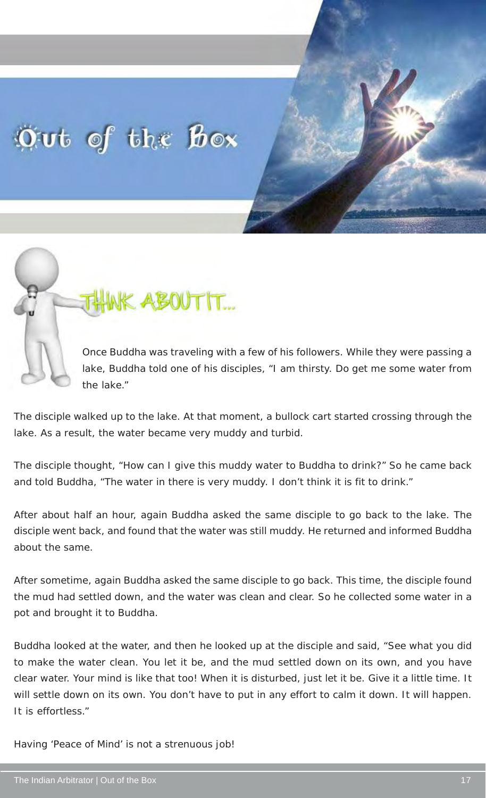## $0$  ut of the box



Once Buddha was traveling with a few of his followers. While they were passing a lake, Buddha told one of his disciples, "I am thirsty. Do get me some water from the lake."

The disciple walked up to the lake. At that moment, a bullock cart started crossing through the lake. As a result, the water became very muddy and turbid.

The disciple thought, "How can I give this muddy water to Buddha to drink?" So he came back and told Buddha, "The water in there is very muddy. I don't think it is fit to drink."

After about half an hour, again Buddha asked the same disciple to go back to the lake. The disciple went back, and found that the water was still muddy. He returned and informed Buddha about the same.

After sometime, again Buddha asked the same disciple to go back. This time, the disciple found the mud had settled down, and the water was clean and clear. So he collected some water in a pot and brought it to Buddha.

Buddha looked at the water, and then he looked up at the disciple and said, "See what you did to make the water clean. You let it be, and the mud settled down on its own, and you have clear water. Your mind is like that too! When it is disturbed, just let it be. Give it a little time. It will settle down on its own. You don't have to put in any effort to calm it down. It will happen. It is effortless."

Having 'Peace of Mind' is not a strenuous job!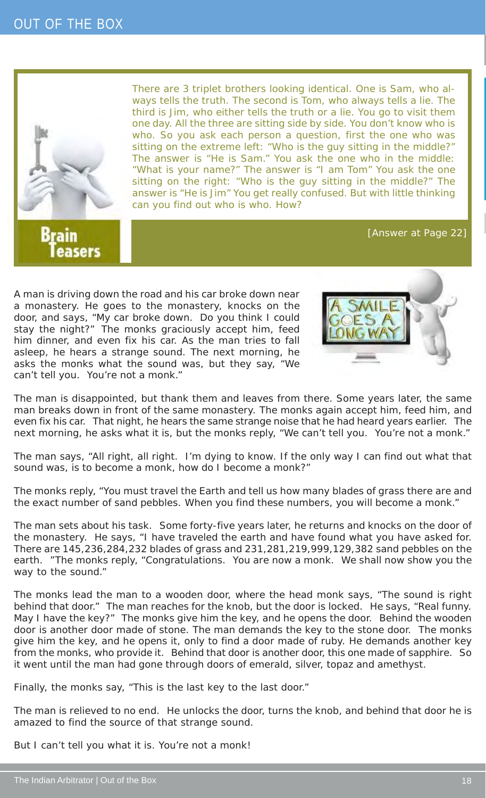

Brain easers

There are 3 triplet brothers looking identical. One is Sam, who always tells the truth. The second is Tom, who always tells a lie. The third is Jim, who either tells the truth or a lie. You go to visit them one day. All the three are sitting side by side. You don't know who is who. So you ask each person a question, first the one who was sitting on the extreme left: "Who is the guy sitting in the middle?" The answer is "He is Sam." You ask the one who in the middle: "What is your name?" The answer is "I am Tom" You ask the one sitting on the right: "Who is the guy sitting in the middle?" The answer is "He is Jim" You get really confused. But with little thinking can you find out who is who. How?

[Answer at Page 22]

A man is driving down the road and his car broke down near a monastery. He goes to the monastery, knocks on the door, and says, "My car broke down. Do you think I could stay the night?" The monks graciously accept him, feed him dinner, and even fix his car. As the man tries to fall asleep, he hears a strange sound. The next morning, he asks the monks what the sound was, but they say, "We can't tell you. You're not a monk."



The man is disappointed, but thank them and leaves from there. Some years later, the same man breaks down in front of the same monastery. The monks again accept him, feed him, and even fix his car. That night, he hears the same strange noise that he had heard years earlier. The next morning, he asks what it is, but the monks reply, "We can't tell you. You're not a monk."

The man says, "All right, all right. I'm dying to know. If the only way I can find out what that sound was, is to become a monk, how do I become a monk?"

The monks reply, "You must travel the Earth and tell us how many blades of grass there are and the exact number of sand pebbles. When you find these numbers, you will become a monk."

The man sets about his task. Some forty-five years later, he returns and knocks on the door of the monastery. He says, "I have traveled the earth and have found what you have asked for. There are 145,236,284,232 blades of grass and 231,281,219,999,129,382 sand pebbles on the earth. "The monks reply, "Congratulations. You are now a monk. We shall now show you the way to the sound."

The monks lead the man to a wooden door, where the head monk says, "The sound is right behind that door." The man reaches for the knob, but the door is locked. He says, "Real funny. May I have the key?" The monks give him the key, and he opens the door. Behind the wooden door is another door made of stone. The man demands the key to the stone door. The monks give him the key, and he opens it, only to find a door made of ruby. He demands another key from the monks, who provide it. Behind that door is another door, this one made of sapphire. So it went until the man had gone through doors of emerald, silver, topaz and amethyst.

Finally, the monks say, "This is the last key to the last door."

The man is relieved to no end. He unlocks the door, turns the knob, and behind that door he is amazed to find the source of that strange sound.

But I can't tell you what it is. You're not a monk!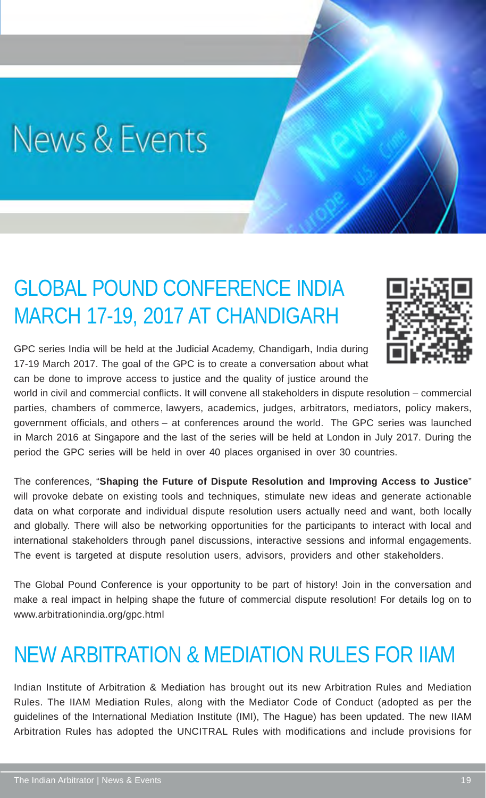# News & Events

### GLOBAL POUND CONFERENCE INDIA MARCH 17-19, 2017 AT CHANDIGARH

GPC series India will be held at the Judicial Academy, Chandigarh, India during 17-19 March 2017. The goal of the GPC is to create a conversation about what can be done to improve access to justice and the quality of justice around the



world in civil and commercial conflicts. It will convene all stakeholders in dispute resolution – commercial parties, chambers of commerce, lawyers, academics, judges, arbitrators, mediators, policy makers, government officials, and others – at conferences around the world. The GPC series was launched in March 2016 at Singapore and the last of the series will be held at London in July 2017. During the period the GPC series will be held in over 40 places organised in over 30 countries.

The conferences, "**Shaping the Future of Dispute Resolution and Improving Access to Justice**" will provoke debate on existing tools and techniques, stimulate new ideas and generate actionable data on what corporate and individual dispute resolution users actually need and want, both locally and globally. There will also be networking opportunities for the participants to interact with local and international stakeholders through panel discussions, interactive sessions and informal engagements. The event is targeted at dispute resolution users, advisors, providers and other stakeholders.

The Global Pound Conference is your opportunity to be part of history! Join in the conversation and make a real impact in helping shape the future of commercial dispute resolution! For details log on to www.arbitrationindia.org/gpc.html

### NEW ARBITRATION & MEDIATION RULES FOR IIAM

Indian Institute of Arbitration & Mediation has brought out its new Arbitration Rules and Mediation Rules. The IIAM Mediation Rules, along with the Mediator Code of Conduct (adopted as per the guidelines of the International Mediation Institute (IMI), The Hague) has been updated. The new IIAM Arbitration Rules has adopted the UNCITRAL Rules with modifications and include provisions for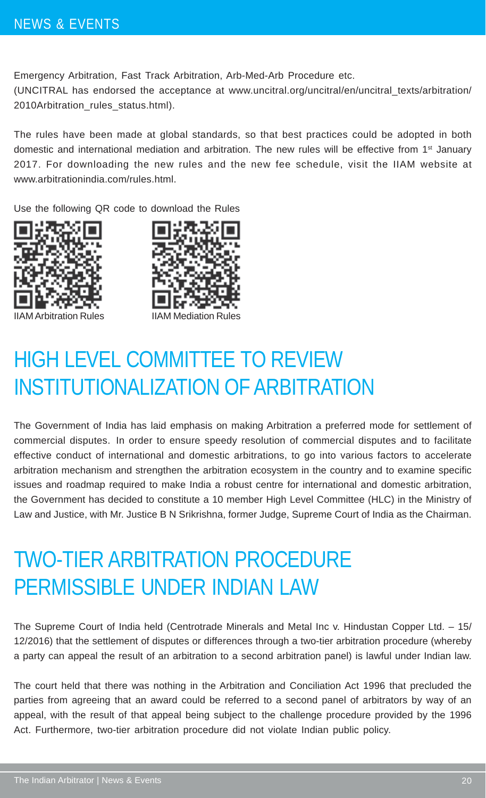Emergency Arbitration, Fast Track Arbitration, Arb-Med-Arb Procedure etc.

(UNCITRAL has endorsed the acceptance at www.uncitral.org/uncitral/en/uncitral\_texts/arbitration/ 2010Arbitration\_rules\_status.html).

The rules have been made at global standards, so that best practices could be adopted in both domestic and international mediation and arbitration. The new rules will be effective from 1<sup>st</sup> January 2017. For downloading the new rules and the new fee schedule, visit the IIAM website at www.arbitrationindia.com/rules.html.

Use the following QR code to download the Rules





IIAM Arbitration Rules IIAM Mediation Rules

### HIGH LEVEL COMMITTEE TO REVIEW INSTITUTIONALIZATION OF ARBITRATION

The Government of India has laid emphasis on making Arbitration a preferred mode for settlement of commercial disputes. In order to ensure speedy resolution of commercial disputes and to facilitate effective conduct of international and domestic arbitrations, to go into various factors to accelerate arbitration mechanism and strengthen the arbitration ecosystem in the country and to examine specific issues and roadmap required to make India a robust centre for international and domestic arbitration, the Government has decided to constitute a 10 member High Level Committee (HLC) in the Ministry of Law and Justice, with Mr. Justice B N Srikrishna, former Judge, Supreme Court of India as the Chairman.

### TWO-TIER ARBITRATION PROCEDURE PERMISSIBLE UNDER INDIAN LAW

The Supreme Court of India held (Centrotrade Minerals and Metal Inc v. Hindustan Copper Ltd. – 15/ 12/2016) that the settlement of disputes or differences through a two-tier arbitration procedure (whereby a party can appeal the result of an arbitration to a second arbitration panel) is lawful under Indian law.

The court held that there was nothing in the Arbitration and Conciliation Act 1996 that precluded the parties from agreeing that an award could be referred to a second panel of arbitrators by way of an appeal, with the result of that appeal being subject to the challenge procedure provided by the 1996 Act. Furthermore, two-tier arbitration procedure did not violate Indian public policy.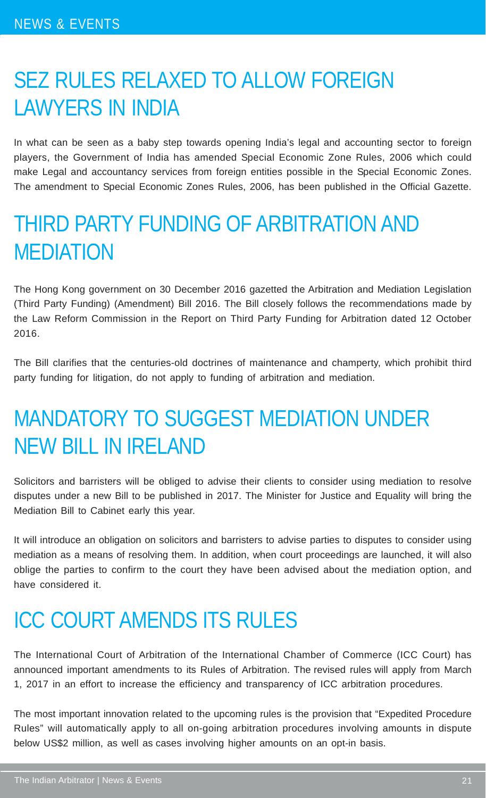### SEZ RULES RELAXED TO ALLOW FOREIGN LAWYERS IN INDIA

In what can be seen as a baby step towards opening India's legal and accounting sector to foreign players, the Government of India has amended Special Economic Zone Rules, 2006 which could make Legal and accountancy services from foreign entities possible in the Special Economic Zones. The amendment to Special Economic Zones Rules, 2006, has been published in the Official Gazette.

### THIRD PARTY FUNDING OF ARBITRATION AND MEDIATION

The Hong Kong government on 30 December 2016 gazetted the Arbitration and Mediation Legislation (Third Party Funding) (Amendment) Bill 2016. The Bill closely follows the recommendations made by the Law Reform Commission in the Report on Third Party Funding for Arbitration dated 12 October 2016.

The Bill clarifies that the centuries-old doctrines of maintenance and champerty, which prohibit third party funding for litigation, do not apply to funding of arbitration and mediation.

### MANDATORY TO SUGGEST MEDIATION UNDER NEW BILL IN IRELAND

Solicitors and barristers will be obliged to advise their clients to consider using mediation to resolve disputes under a new Bill to be published in 2017. The Minister for Justice and Equality will bring the Mediation Bill to Cabinet early this year.

It will introduce an obligation on solicitors and barristers to advise parties to disputes to consider using mediation as a means of resolving them. In addition, when court proceedings are launched, it will also oblige the parties to confirm to the court they have been advised about the mediation option, and have considered it.

### ICC COURT AMENDS ITS RULES

The International Court of Arbitration of the International Chamber of Commerce (ICC Court) has announced important amendments to its Rules of Arbitration. The revised rules will apply from March 1, 2017 in an effort to increase the efficiency and transparency of ICC arbitration procedures.

The most important innovation related to the upcoming rules is the provision that "Expedited Procedure Rules" will automatically apply to all on-going arbitration procedures involving amounts in dispute below US\$2 million, as well as cases involving higher amounts on an opt-in basis.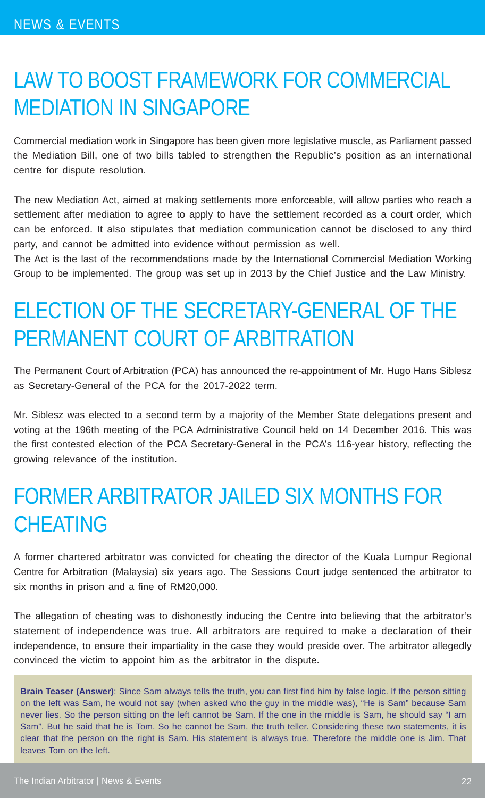### LAW TO BOOST FRAMEWORK FOR COMMERCIAL MEDIATION IN SINGAPORE

Commercial mediation work in Singapore has been given more legislative muscle, as Parliament passed the Mediation Bill, one of two bills tabled to strengthen the Republic's position as an international centre for dispute resolution.

The new Mediation Act, aimed at making settlements more enforceable, will allow parties who reach a settlement after mediation to agree to apply to have the settlement recorded as a court order, which can be enforced. It also stipulates that mediation communication cannot be disclosed to any third party, and cannot be admitted into evidence without permission as well.

The Act is the last of the recommendations made by the International Commercial Mediation Working Group to be implemented. The group was set up in 2013 by the Chief Justice and the Law Ministry.

### ELECTION OF THE SECRETARY-GENERAL OF THE PERMANENT COURT OF ARBITRATION

The Permanent Court of Arbitration (PCA) has announced the re-appointment of Mr. Hugo Hans Siblesz as Secretary-General of the PCA for the 2017-2022 term.

Mr. Siblesz was elected to a second term by a majority of the Member State delegations present and voting at the 196th meeting of the PCA Administrative Council held on 14 December 2016. This was the first contested election of the PCA Secretary-General in the PCA's 116-year history, reflecting the growing relevance of the institution.

### FORMER ARBITRATOR JAILED SIX MONTHS FOR CHEATING

A former chartered arbitrator was convicted for cheating the director of the Kuala Lumpur Regional Centre for Arbitration (Malaysia) six years ago. The Sessions Court judge sentenced the arbitrator to six months in prison and a fine of RM20,000.

The allegation of cheating was to dishonestly inducing the Centre into believing that the arbitrator's statement of independence was true. All arbitrators are required to make a declaration of their independence, to ensure their impartiality in the case they would preside over. The arbitrator allegedly convinced the victim to appoint him as the arbitrator in the dispute.

**Brain Teaser (Answer)**: Since Sam always tells the truth, you can first find him by false logic. If the person sitting on the left was Sam, he would not say (when asked who the guy in the middle was), "He is Sam" because Sam never lies. So the person sitting on the left cannot be Sam. If the one in the middle is Sam, he should say "I am Sam". But he said that he is Tom. So he cannot be Sam, the truth teller. Considering these two statements, it is clear that the person on the right is Sam. His statement is always true. Therefore the middle one is Jim. That leaves Tom on the left.